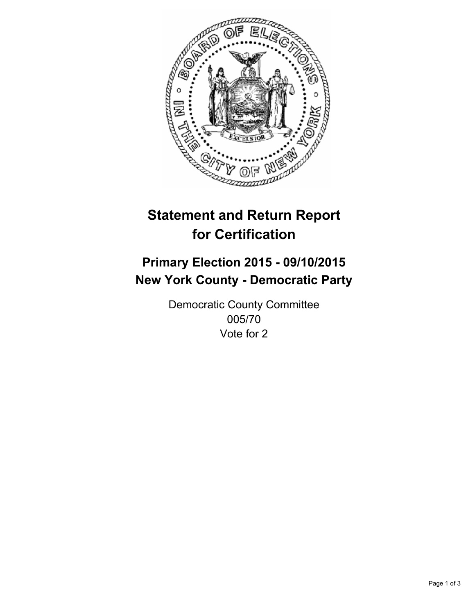

# **Statement and Return Report for Certification**

## **Primary Election 2015 - 09/10/2015 New York County - Democratic Party**

Democratic County Committee 005/70 Vote for 2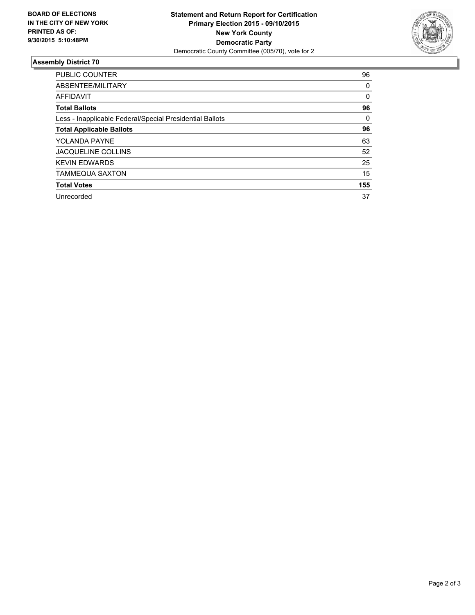

#### **Assembly District 70**

| <b>PUBLIC COUNTER</b>                                    | 96  |
|----------------------------------------------------------|-----|
| ABSENTEE/MILITARY                                        | 0   |
| <b>AFFIDAVIT</b>                                         | 0   |
| <b>Total Ballots</b>                                     | 96  |
| Less - Inapplicable Federal/Special Presidential Ballots | 0   |
| <b>Total Applicable Ballots</b>                          | 96  |
| YOLANDA PAYNE                                            | 63  |
| JACQUELINE COLLINS                                       | 52  |
| <b>KEVIN EDWARDS</b>                                     | 25  |
| <b>TAMMEQUA SAXTON</b>                                   | 15  |
| <b>Total Votes</b>                                       | 155 |
| Unrecorded                                               | 37  |